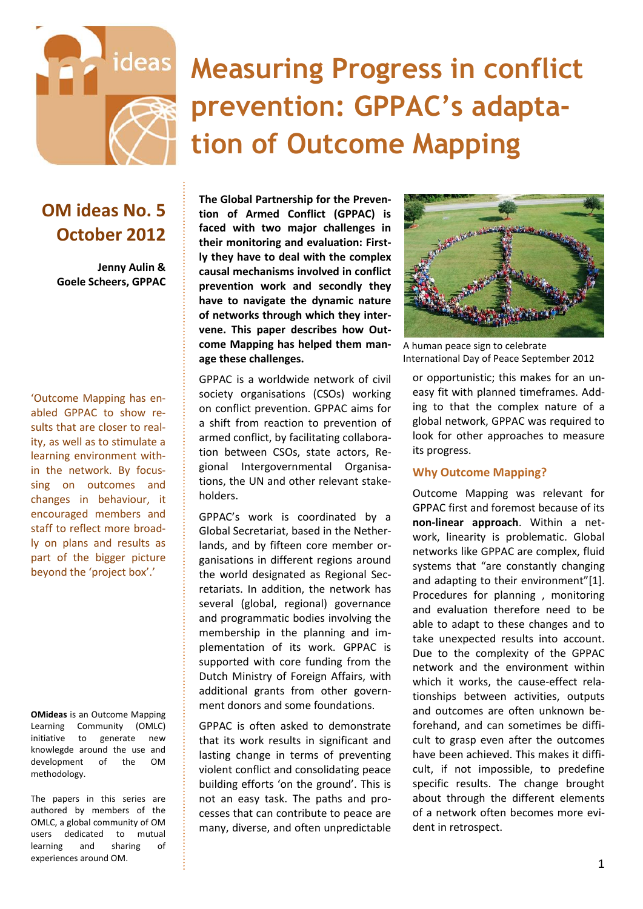

# **Measuring Progress in conflict prevention: GPPAC's adaptation of Outcome Mapping**

### **OM ideas No. 5 October 2012**

**Jenny Aulin & Goele Scheers, GPPAC**

'Outcome Mapping has enabled GPPAC to show results that are closer to reality, as well as to stimulate a learning environment within the network. By focussing on outcomes and changes in behaviour, it encouraged members and staff to reflect more broadly on plans and results as part of the bigger picture beyond the 'project box'.'

**OMideas** is an Outcome Mapping Learning Community (OMLC) initiative to generate new knowlegde around the use and development of the OM methodology.

The papers in this series are authored by members of the OMLC, a global community of OM users dedicated to mutual learning and sharing of experiences around OM.

**The Global Partnership for the Prevention of Armed Conflict (GPPAC) is faced with two major challenges in their monitoring and evaluation: Firstly they have to deal with the complex causal mechanisms involved in conflict prevention work and secondly they have to navigate the dynamic nature of networks through which they intervene. This paper describes how Outcome Mapping has helped them manage these challenges.**

GPPAC is a worldwide network of civil society organisations (CSOs) working on conflict prevention. GPPAC aims for a shift from reaction to prevention of armed conflict, by facilitating collaboration between CSOs, state actors, Regional Intergovernmental Organisations, the UN and other relevant stakeholders.

GPPAC's work is coordinated by a Global Secretariat, based in the Netherlands, and by fifteen core member organisations in different regions around the world designated as Regional Secretariats. In addition, the network has several (global, regional) governance and programmatic bodies involving the membership in the planning and implementation of its work. GPPAC is supported with core funding from the Dutch Ministry of Foreign Affairs, with additional grants from other government donors and some foundations.

GPPAC is often asked to demonstrate that its work results in significant and lasting change in terms of preventing violent conflict and consolidating peace building efforts 'on the ground'. This is not an easy task. The paths and processes that can contribute to peace are many, diverse, and often unpredictable



A human peace sign to celebrate International Day of Peace September 2012

or opportunistic; this makes for an uneasy fit with planned timeframes. Adding to that the complex nature of a global network, GPPAC was required to look for other approaches to measure its progress.

#### **Why Outcome Mapping?**

Outcome Mapping was relevant for GPPAC first and foremost because of its **non-linear approach**. Within a network, linearity is problematic. Global networks like GPPAC are complex, fluid systems that "are constantly changing and adapting to their environment"[1]. Procedures for planning , monitoring and evaluation therefore need to be able to adapt to these changes and to take unexpected results into account. Due to the complexity of the GPPAC network and the environment within which it works, the cause-effect relationships between activities, outputs and outcomes are often unknown beforehand, and can sometimes be difficult to grasp even after the outcomes have been achieved. This makes it difficult, if not impossible, to predefine specific results. The change brought about through the different elements of a network often becomes more evident in retrospect.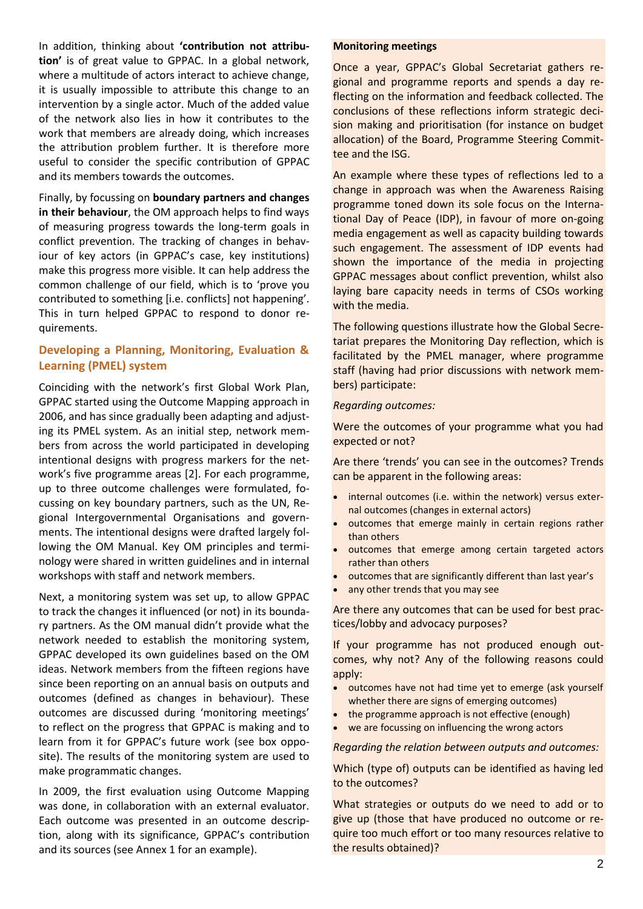In addition, thinking about **'contribution not attribution'** is of great value to GPPAC. In a global network, where a multitude of actors interact to achieve change, it is usually impossible to attribute this change to an intervention by a single actor. Much of the added value of the network also lies in how it contributes to the work that members are already doing, which increases the attribution problem further. It is therefore more useful to consider the specific contribution of GPPAC and its members towards the outcomes.

Finally, by focussing on **boundary partners and changes in their behaviour**, the OM approach helps to find ways of measuring progress towards the long-term goals in conflict prevention. The tracking of changes in behaviour of key actors (in GPPAC's case, key institutions) make this progress more visible. It can help address the common challenge of our field, which is to 'prove you contributed to something [i.e. conflicts] not happening'. This in turn helped GPPAC to respond to donor requirements.

#### **Developing a Planning, Monitoring, Evaluation & Learning (PMEL) system**

Coinciding with the network's first Global Work Plan, GPPAC started using the Outcome Mapping approach in 2006, and has since gradually been adapting and adjusting its PMEL system. As an initial step, network members from across the world participated in developing intentional designs with progress markers for the network's five programme areas [2]. For each programme, up to three outcome challenges were formulated, focussing on key boundary partners, such as the UN, Regional Intergovernmental Organisations and governments. The intentional designs were drafted largely following the OM Manual. Key OM principles and terminology were shared in written guidelines and in internal workshops with staff and network members.

Next, a monitoring system was set up, to allow GPPAC to track the changes it influenced (or not) in its boundary partners. As the OM manual didn't provide what the network needed to establish the monitoring system, GPPAC developed its own guidelines based on the OM ideas. Network members from the fifteen regions have since been reporting on an annual basis on outputs and outcomes (defined as changes in behaviour). These outcomes are discussed during 'monitoring meetings' to reflect on the progress that GPPAC is making and to learn from it for GPPAC's future work (see box opposite). The results of the monitoring system are used to make programmatic changes.

In 2009, the first evaluation using Outcome Mapping was done, in collaboration with an external evaluator. Each outcome was presented in an outcome description, along with its significance, GPPAC's contribution and its sources (see Annex 1 for an example).

#### **Monitoring meetings**

Once a year, GPPAC's Global Secretariat gathers regional and programme reports and spends a day reflecting on the information and feedback collected. The conclusions of these reflections inform strategic decision making and prioritisation (for instance on budget allocation) of the Board, Programme Steering Committee and the ISG.

An example where these types of reflections led to a change in approach was when the Awareness Raising programme toned down its sole focus on the International Day of Peace (IDP), in favour of more on-going media engagement as well as capacity building towards such engagement. The assessment of IDP events had shown the importance of the media in projecting GPPAC messages about conflict prevention, whilst also laying bare capacity needs in terms of CSOs working with the media.

The following questions illustrate how the Global Secretariat prepares the Monitoring Day reflection, which is facilitated by the PMEL manager, where programme staff (having had prior discussions with network members) participate:

#### *Regarding outcomes:*

Were the outcomes of your programme what you had expected or not?

Are there 'trends' you can see in the outcomes? Trends can be apparent in the following areas:

- internal outcomes (i.e. within the network) versus external outcomes (changes in external actors)
- outcomes that emerge mainly in certain regions rather than others
- outcomes that emerge among certain targeted actors rather than others
- outcomes that are significantly different than last year's
- any other trends that you may see

Are there any outcomes that can be used for best practices/lobby and advocacy purposes?

If your programme has not produced enough outcomes, why not? Any of the following reasons could apply:

- outcomes have not had time yet to emerge (ask yourself whether there are signs of emerging outcomes)
- the programme approach is not effective (enough)
- we are focussing on influencing the wrong actors

#### *Regarding the relation between outputs and outcomes:*

#### Which (type of) outputs can be identified as having led to the outcomes?

What strategies or outputs do we need to add or to give up (those that have produced no outcome or require too much effort or too many resources relative to the results obtained)?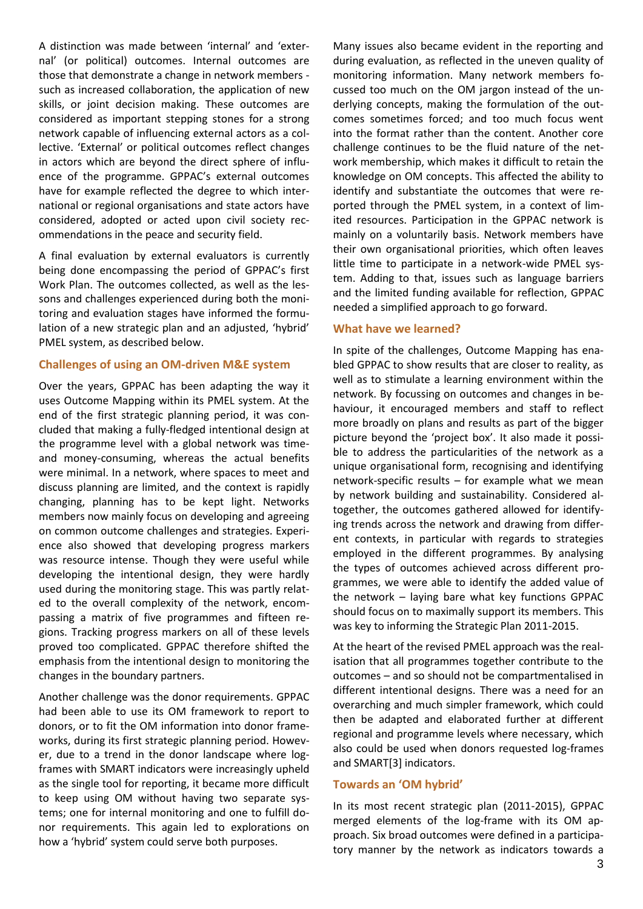A distinction was made between 'internal' and 'external' (or political) outcomes. Internal outcomes are those that demonstrate a change in network members such as increased collaboration, the application of new skills, or joint decision making. These outcomes are considered as important stepping stones for a strong network capable of influencing external actors as a collective. 'External' or political outcomes reflect changes in actors which are beyond the direct sphere of influence of the programme. GPPAC's external outcomes have for example reflected the degree to which international or regional organisations and state actors have considered, adopted or acted upon civil society recommendations in the peace and security field.

A final evaluation by external evaluators is currently being done encompassing the period of GPPAC's first Work Plan. The outcomes collected, as well as the lessons and challenges experienced during both the monitoring and evaluation stages have informed the formulation of a new strategic plan and an adjusted, 'hybrid' PMEL system, as described below.

#### **Challenges of using an OM-driven M&E system**

Over the years, GPPAC has been adapting the way it uses Outcome Mapping within its PMEL system. At the end of the first strategic planning period, it was concluded that making a fully-fledged intentional design at the programme level with a global network was timeand money-consuming, whereas the actual benefits were minimal. In a network, where spaces to meet and discuss planning are limited, and the context is rapidly changing, planning has to be kept light. Networks members now mainly focus on developing and agreeing on common outcome challenges and strategies. Experience also showed that developing progress markers was resource intense. Though they were useful while developing the intentional design, they were hardly used during the monitoring stage. This was partly related to the overall complexity of the network, encompassing a matrix of five programmes and fifteen regions. Tracking progress markers on all of these levels proved too complicated. GPPAC therefore shifted the emphasis from the intentional design to monitoring the changes in the boundary partners.

Another challenge was the donor requirements. GPPAC had been able to use its OM framework to report to donors, or to fit the OM information into donor frameworks, during its first strategic planning period. However, due to a trend in the donor landscape where logframes with SMART indicators were increasingly upheld as the single tool for reporting, it became more difficult to keep using OM without having two separate systems; one for internal monitoring and one to fulfill donor requirements. This again led to explorations on how a 'hybrid' system could serve both purposes.

Many issues also became evident in the reporting and during evaluation, as reflected in the uneven quality of monitoring information. Many network members focussed too much on the OM jargon instead of the underlying concepts, making the formulation of the outcomes sometimes forced; and too much focus went into the format rather than the content. Another core challenge continues to be the fluid nature of the network membership, which makes it difficult to retain the knowledge on OM concepts. This affected the ability to identify and substantiate the outcomes that were reported through the PMEL system, in a context of limited resources. Participation in the GPPAC network is mainly on a voluntarily basis. Network members have their own organisational priorities, which often leaves little time to participate in a network-wide PMEL system. Adding to that, issues such as language barriers and the limited funding available for reflection, GPPAC needed a simplified approach to go forward.

#### **What have we learned?**

In spite of the challenges, Outcome Mapping has enabled GPPAC to show results that are closer to reality, as well as to stimulate a learning environment within the network. By focussing on outcomes and changes in behaviour, it encouraged members and staff to reflect more broadly on plans and results as part of the bigger picture beyond the 'project box'. It also made it possible to address the particularities of the network as a unique organisational form, recognising and identifying network-specific results – for example what we mean by network building and sustainability. Considered altogether, the outcomes gathered allowed for identifying trends across the network and drawing from different contexts, in particular with regards to strategies employed in the different programmes. By analysing the types of outcomes achieved across different programmes, we were able to identify the added value of the network – laying bare what key functions GPPAC should focus on to maximally support its members. This was key to informing the Strategic Plan 2011-2015.

At the heart of the revised PMEL approach was the realisation that all programmes together contribute to the outcomes – and so should not be compartmentalised in different intentional designs. There was a need for an overarching and much simpler framework, which could then be adapted and elaborated further at different regional and programme levels where necessary, which also could be used when donors requested log-frames and SMART[3] indicators.

#### **Towards an 'OM hybrid'**

In its most recent strategic plan (2011-2015), GPPAC merged elements of the log-frame with its OM approach. Six broad outcomes were defined in a participatory manner by the network as indicators towards a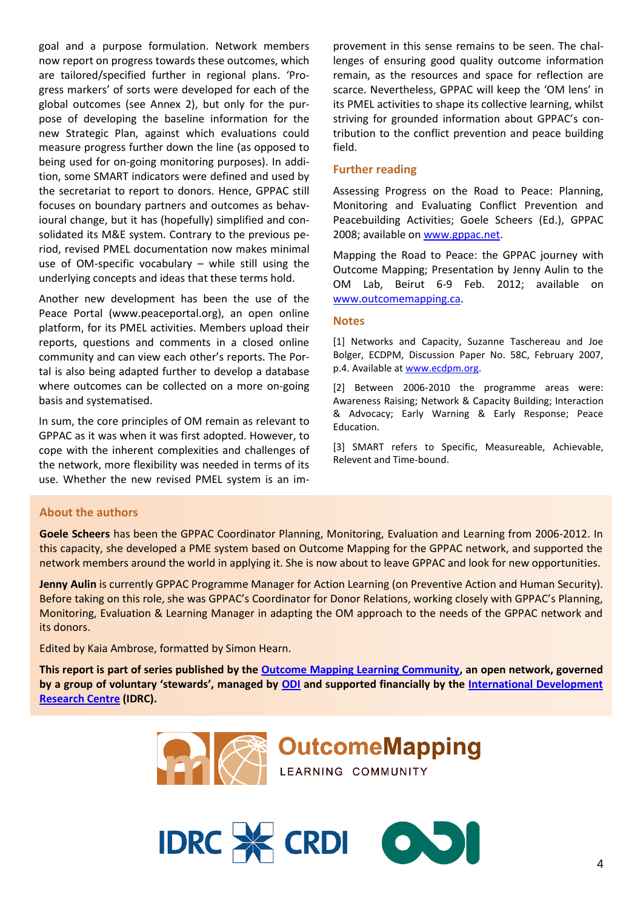goal and a purpose formulation. Network members now report on progress towards these outcomes, which are tailored/specified further in regional plans. 'Progress markers' of sorts were developed for each of the global outcomes (see Annex 2), but only for the purpose of developing the baseline information for the new Strategic Plan, against which evaluations could measure progress further down the line (as opposed to being used for on-going monitoring purposes). In addition, some SMART indicators were defined and used by the secretariat to report to donors. Hence, GPPAC still focuses on boundary partners and outcomes as behavioural change, but it has (hopefully) simplified and consolidated its M&E system. Contrary to the previous period, revised PMEL documentation now makes minimal use of OM-specific vocabulary – while still using the underlying concepts and ideas that these terms hold.

Another new development has been the use of the Peace Portal (www.peaceportal.org), an open online platform, for its PMEL activities. Members upload their reports, questions and comments in a closed online community and can view each other's reports. The Portal is also being adapted further to develop a database where outcomes can be collected on a more on-going basis and systematised.

In sum, the core principles of OM remain as relevant to GPPAC as it was when it was first adopted. However, to cope with the inherent complexities and challenges of the network, more flexibility was needed in terms of its use. Whether the new revised PMEL system is an im-

provement in this sense remains to be seen. The challenges of ensuring good quality outcome information remain, as the resources and space for reflection are scarce. Nevertheless, GPPAC will keep the 'OM lens' in its PMEL activities to shape its collective learning, whilst striving for grounded information about GPPAC's contribution to the conflict prevention and peace building field.

#### **Further reading**

Assessing Progress on the Road to Peace: Planning, Monitoring and Evaluating Conflict Prevention and Peacebuilding Activities; Goele Scheers (Ed.), GPPAC 2008; available on [www.gppac.net.](http://www.gppac.net/)

Mapping the Road to Peace: the GPPAC journey with Outcome Mapping; Presentation by Jenny Aulin to the OM Lab, Beirut 6-9 Feb. 2012; available on [www.outcomemapping.ca.](http://www.outcomemapping.ca/)

#### **Notes**

[1] Networks and Capacity, Suzanne Taschereau and Joe Bolger, ECDPM, Discussion Paper No. 58C, February 2007, p.4. Available a[t www.ecdpm.org.](http://www.ecdpm.org/)

[2] Between 2006-2010 the programme areas were: Awareness Raising; Network & Capacity Building; Interaction & Advocacy; Early Warning & Early Response; Peace Education.

[3] SMART refers to Specific, Measureable, Achievable, Relevent and Time-bound.

#### **About the authors**

**Goele Scheers** has been the GPPAC Coordinator Planning, Monitoring, Evaluation and Learning from 2006-2012. In this capacity, she developed a PME system based on Outcome Mapping for the GPPAC network, and supported the network members around the world in applying it. She is now about to leave GPPAC and look for new opportunities.

**Jenny Aulin** is currently GPPAC Programme Manager for Action Learning (on Preventive Action and Human Security). Before taking on this role, she was GPPAC's Coordinator for Donor Relations, working closely with GPPAC's Planning, Monitoring, Evaluation & Learning Manager in adapting the OM approach to the needs of the GPPAC network and its donors.

Edited by Kaia Ambrose, formatted by Simon Hearn.

**This report is part of series published by the [Outcome Mapping Learning Community,](http://www.outcomemapping.ca/) an open network, governed by a group of voluntary 'stewards', managed by [ODI](http://www.odi.org.uk/) and supported financially by the [International Development](http://www.idrc.ca/)  [Research Centre](http://www.idrc.ca/) (IDRC).**



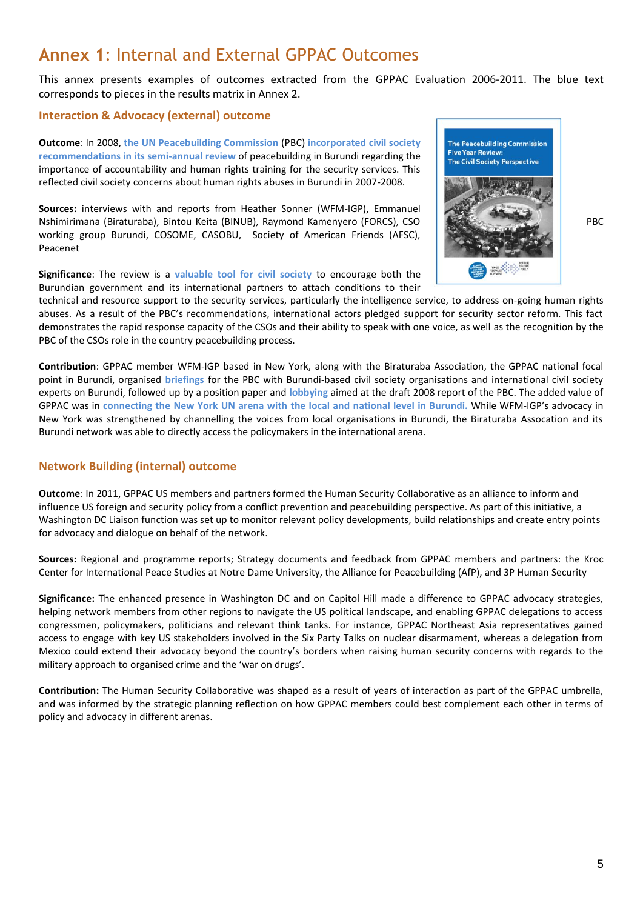### **Annex 1**: Internal and External GPPAC Outcomes

This annex presents examples of outcomes extracted from the GPPAC Evaluation 2006-2011. The blue text corresponds to pieces in the results matrix in Annex 2.

#### **Interaction & Advocacy (external) outcome**

**Outcome**: In 2008, **the UN Peacebuilding Commission** (PBC) **incorporated civil society recommendations in its semi-annual review** of peacebuilding in Burundi regarding the importance of accountability and human rights training for the security services. This reflected civil society concerns about human rights abuses in Burundi in 2007-2008.

**Sources:** interviews with and reports from Heather Sonner (WFM-IGP), Emmanuel Nshimirimana (Biraturaba), Bintou Keita (BINUB), Raymond Kamenyero (FORCS), CSO PBC working group Burundi, COSOME, CASOBU, Society of American Friends (AFSC), Peacenet

**Significance**: The review is a **valuable tool for civil society** to encourage both the Burundian government and its international partners to attach conditions to their



technical and resource support to the security services, particularly the intelligence service, to address on-going human rights abuses. As a result of the PBC's recommendations, international actors pledged support for security sector reform. This fact demonstrates the rapid response capacity of the CSOs and their ability to speak with one voice, as well as the recognition by the PBC of the CSOs role in the country peacebuilding process.

**Contribution**: GPPAC member WFM-IGP based in New York, along with the Biraturaba Association, the GPPAC national focal point in Burundi, organised **briefings** for the PBC with Burundi-based civil society organisations and international civil society experts on Burundi, followed up by a position paper and **lobbying** aimed at the draft 2008 report of the PBC. The added value of GPPAC was in **connecting the New York UN arena with the local and national level in Burundi.** While WFM-IGP's advocacy in New York was strengthened by channelling the voices from local organisations in Burundi, the Biraturaba Assocation and its Burundi network was able to directly access the policymakers in the international arena.

#### **Network Building (internal) outcome**

**Outcome**: In 2011, GPPAC US members and partners formed the Human Security Collaborative as an alliance to inform and influence US foreign and security policy from a conflict prevention and peacebuilding perspective. As part of this initiative, a Washington DC Liaison function was set up to monitor relevant policy developments, build relationships and create entry points for advocacy and dialogue on behalf of the network.

**Sources:** Regional and programme reports; Strategy documents and feedback from GPPAC members and partners: the Kroc Center for International Peace Studies at Notre Dame University, the Alliance for Peacebuilding (AfP), and 3P Human Security

**Significance:** The enhanced presence in Washington DC and on Capitol Hill made a difference to GPPAC advocacy strategies, helping network members from other regions to navigate the US political landscape, and enabling GPPAC delegations to access congressmen, policymakers, politicians and relevant think tanks. For instance, GPPAC Northeast Asia representatives gained access to engage with key US stakeholders involved in the Six Party Talks on nuclear disarmament, whereas a delegation from Mexico could extend their advocacy beyond the country's borders when raising human security concerns with regards to the military approach to organised crime and the 'war on drugs'.

**Contribution:** The Human Security Collaborative was shaped as a result of years of interaction as part of the GPPAC umbrella, and was informed by the strategic planning reflection on how GPPAC members could best complement each other in terms of policy and advocacy in different arenas.